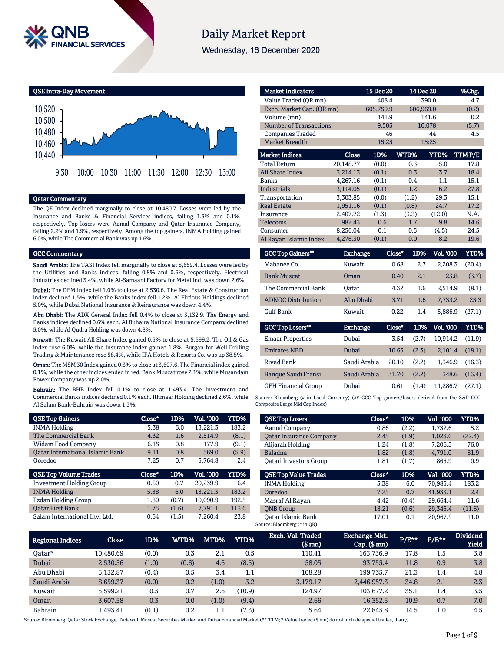

# **Daily Market Report**

Wednesday, 16 December 2020

QSE Intra-Day Movement



#### Qatar Commentary

The QE Index declined marginally to close at 10,480.7. Losses were led by the Insurance and Banks & Financial Services indices, falling 1.3% and 0.1%, respectively. Top losers were Aamal Company and Qatar Insurance Company, falling 2.2% and 1.9%, respectively. Among the top gainers, INMA Holding gained 6.0%, while The Commercial Bank was up 1.6%.

#### GCC Commentary

Saudi Arabia: The TASI Index fell marginally to close at 8,659.4. Losses were led by the Utilities and Banks indices, falling 0.8% and 0.6%, respectively. Electrical Industries declined 3.4%, while Al-Samaani Factory for Metal Ind. was down 2.6%.

Dubai: The DFM Index fell 1.0% to close at 2,530.6. The Real Estate & Construction index declined 1.5%, while the Banks index fell 1.2%. Al Firdous Holdings declined 5.0%, while Dubai National Insurance & Reinsurance was down 4.4%.

Abu Dhabi: The ADX General Index fell 0.4% to close at 5,132.9. The Energy and Banks indices declined 0.6% each. Al Buhaira National Insurance Company declined 5.0%, while Al Qudra Holding was down 4.8%.

Kuwait: The Kuwait All Share Index gained 0.5% to close at 5,599.2. The Oil & Gas index rose 6.0%, while the Insurance index gained 1.8%. Burgan for Well Drilling Trading & Maintenance rose 58.4%, while IFA Hotels & Resorts Co. was up 38.5%.

Oman: The MSM 30 Index gained 0.3% to close at 3,607.6. The Financial index gained 0.1%, while the other indices ended in red. Bank Muscat rose 2.1%, while Musandam Power Company was up 2.0%.

Bahrain: The BHB Index fell 0.1% to close at 1,493.4. The Investment and Commercial Banks indices declined 0.1% each. Ithmaar Holding declined 2.6%, while Al Salam Bank-Bahrain was down 1.3%.

| <b>QSE Top Gainers</b>                  | Close* | 1D%   | Vol. '000 | <b>YTD%</b> |
|-----------------------------------------|--------|-------|-----------|-------------|
| <b>INMA Holding</b>                     | 5.38   | 6.0   | 13,221.3  | 183.2       |
| The Commercial Bank                     | 4.32   | 1.6   | 2,514.9   | (8.1)       |
| Widam Food Company                      | 6.15   | 0.8   | 177.9     | (9.1)       |
| <b>Oatar International Islamic Bank</b> | 9.11   | 0.8   | 569.0     | (5.9)       |
| Ooredoo                                 | 7.25   | 0.7   | 5.764.8   | 2.4         |
|                                         |        |       |           |             |
| <b>QSE Top Volume Trades</b>            | Close* | 1D%   | Vol. '000 | YTD%        |
| <b>Investment Holding Group</b>         | 0.60   | 0.7   | 20.239.9  | 6.4         |
| <b>INMA Holding</b>                     | 5.38   | 6.0   | 13,221.3  | 183.2       |
| <b>Ezdan Holding Group</b>              | 1.80   | (0.7) | 10.090.9  | 192.5       |
| <b>Oatar First Bank</b>                 | 1.75   | (1.6) | 7.791.1   | 113.6       |

| <b>Market Indicators</b>      |                 | 15 Dec 20 |               | 14 Dec 20      | %Chg.         |
|-------------------------------|-----------------|-----------|---------------|----------------|---------------|
| Value Traded (QR mn)          |                 | 408.4     |               | 390.0          | 4.7           |
| Exch. Market Cap. (QR mn)     |                 | 605,759.9 |               | 606,969.0      | (0.2)         |
| Volume (mn)                   |                 | 141.9     |               | 141.6          | 0.2           |
| <b>Number of Transactions</b> |                 | 9,505     |               | 10,078         | (5.7)         |
| <b>Companies Traded</b>       |                 | 46        |               | 44             | 4.5           |
| <b>Market Breadth</b>         |                 | 15:25     |               | 15:25          |               |
| <b>Market Indices</b>         | <b>Close</b>    | 1D%       | WTD%          | YTD%           | TTMP/E        |
| <b>Total Return</b>           | 20,148.77       | (0.0)     | 0.3           | 5.0            | 17.8          |
| <b>All Share Index</b>        | 3,214.13        | (0.1)     | 0.3           | 3.7            | 18.4          |
| <b>Banks</b>                  | 4,267.16        | (0.1)     | 0.4           | 1.1            | 15.1          |
| <b>Industrials</b>            | 3,114.05        | (0.1)     | 1.2           | 6.2            | 27.8          |
| Transportation                | 3,303.85        | (0.0)     | (1.2)         | 29.3           | 15.1          |
| <b>Real Estate</b>            | 1,951.16        | (0.1)     | (0.8)         | 24.7           | 17.2          |
| Insurance                     | 2,407.72        | (1.3)     | (3.3)         | (12.0)         | N.A.          |
| Telecoms                      | 982.43          | 0.6       | 1.7           | 9.8            | 14.6          |
| Consumer                      | 8,256.04        | 0.1       | 0.5           | (4.5)          | 24.5          |
| Al Rayan Islamic Index        | 4,276.30        | (0.1)     | 0.0           | 8.2            | 19.6          |
| <b>GCC Top Gainers**</b>      | <b>Exchange</b> |           | Close*<br>1D% | Vol. '000      | <b>YTD%</b>   |
| Mabanee Co.                   | Kuwait          |           | 0.68          | 2.7<br>2,208.3 | (20.4)        |
| <b>Bank Muscat</b>            | Oman            |           | 0.40          | 2.1            | 25.8<br>(3.7) |
| The Commercial Bank           | Oatar           |           | 4.32          | 1.6<br>2,514.9 | (8.1)         |

ADNOC Distribution Abu Dhabi 3.71 1.6 7,733.2 25.3 Gulf Bank **Kuwait 6.22** 1.4 5,886.9 (27.1)

Exchange Close#

Emaar Properties Dubai 3.54 (2.7) 10,914.2 (11.9) Emirates NBD Dubai 10.65 (2.3) 2,101.4 (18.1) Riyad Bank Saudi Arabia 20.10 (2.2) 1,346.9 (16.3) Banque Saudi Fransi Saudi Arabia 31.70 (2.2) 348.6 (16.4) GFH Financial Group Dubai 0.61 (1.4) 11,286.7 (27.1)

1D% Vol. '000 YTD%

Source: Bloomberg (# in Local Currency) (## GCC Top gainers/losers derived from the S&P GCC Composite Large Mid Cap Index)

| <b>QSE Top Losers</b>          | Close* | 1D%   | <b>Vol. '000</b> | YTD%   |
|--------------------------------|--------|-------|------------------|--------|
| Aamal Company                  | 0.86   | (2.2) | 1.732.6          | 5.2    |
| <b>Oatar Insurance Company</b> | 2.45   | (1.9) | 1.023.6          | (22.4) |
| Alijarah Holding               | 1.24   | (1.8) | 7,206.5          | 76.0   |
| <b>Baladna</b>                 | 1.82   | (1.8) | 4.791.0          | 81.9   |
| Qatari Investors Group         | 1.81   | (1.7) | 865.9            | 0.9    |
|                                |        |       |                  |        |
| <b>OSE Top Value Trades</b>    | Close* | 1D%   | Val. '000        | YTD%   |
| <b>INMA Holding</b>            | 5.38   | 6.0   | 70.985.4         | 183.2  |
| Ooredoo                        | 7.25   | 0.7   | 41.933.1         | 2.4    |
| Masraf Al Rayan                | 4.42   | (0.4) | 29.664.4         | 11.6   |
| <b>ONB</b> Group               | 18.21  | (0.6) | 29,345.4         | (11.6) |

| <b>Regional Indices</b> | Close     | 1D%   | WTD%  | MTD%  | YTD%   | Exch. Val. Traded<br>$$$ mn $)$ | <b>Exchange Mkt.</b><br>$Cap.$ $(\$$ mn) | $P/E***$ | $P/B**$ | <b>Dividend</b><br><b>Yield</b> |
|-------------------------|-----------|-------|-------|-------|--------|---------------------------------|------------------------------------------|----------|---------|---------------------------------|
| Oatar*                  | 10.480.69 | (0.0) | 0.3   | 2.1   | 0.5    | 110.41                          | 163,736.9                                | 17.8     | $1.5\,$ | 3.8                             |
| Dubai                   | 2.530.56  | (1.0) | (0.6) | 4.6   | (8.5)  | 58.05                           | 93.755.4                                 | 11.8     | 0.9     | 3.8                             |
| Abu Dhabi               | 5.132.87  | (0.4) | 0.5   | 3.4   | 1.1    | 108.28                          | 199.735.7                                | 21.3     | 1.4     | 4.8                             |
| Saudi Arabia            | 8,659.37  | (0.0) | 0.2   | (1.0) | 3.2    | 3.179.17                        | 2,446,957.3                              | 34.8     | 2.1     | 2.3                             |
| Kuwait                  | 5.599.21  | 0.5   | 0.7   | 2.6   | (10.9) | 124.97                          | 103.677.2                                | 35.1     | 1.4     | 3.5                             |
| Oman                    | 3.607.58  | 0.3   | 0.0   | (1.0) | (9.4)  | 2.66                            | 16.352.5                                 | 10.9     | 0.7     | 7.0                             |
| <b>Bahrain</b>          | 1.493.41  | (0.1) | 0.2   | 1.1   | (7.3)  | 5.64                            | 22.845.8                                 | 14.5     | $1.0\,$ | 4.5                             |

GCC Top Losers\*\*

Source: Bloomberg, Oatar Stock Exchange, Tadawul, Muscat Securities Market and Dubai Financial Market (\*\* TTM; \* Value traded (\$ mn) do not include special trades, if any)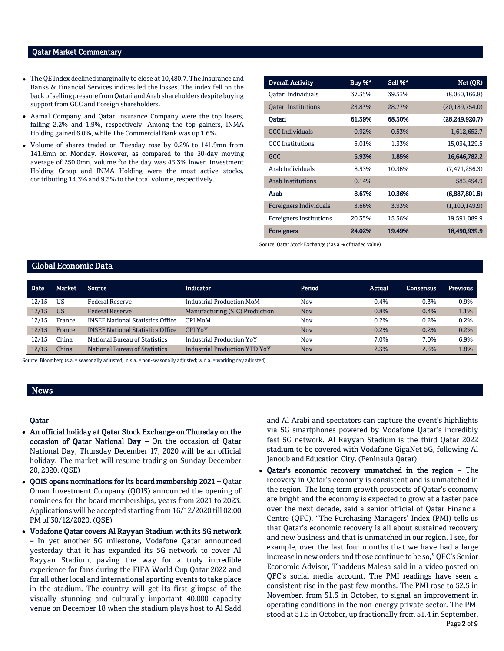### Qatar Market Commentary

- The QE Index declined marginally to close at 10,480.7. The Insurance and Banks & Financial Services indices led the losses. The index fell on the back of selling pressure from Qatari and Arab shareholders despite buying support from GCC and Foreign shareholders.
- Aamal Company and Qatar Insurance Company were the top losers, falling 2.2% and 1.9%, respectively. Among the top gainers, INMA Holding gained 6.0%, while The Commercial Bank was up 1.6%.
- Volume of shares traded on Tuesday rose by 0.2% to 141.9mn from 141.6mn on Monday. However, as compared to the 30-day moving average of 250.0mn, volume for the day was 43.3% lower. Investment Holding Group and INMA Holding were the most active stocks, contributing 14.3% and 9.3% to the total volume, respectively.

| <b>Overall Activity</b>        | Buy %* | Sell %* | Net (QR)         |
|--------------------------------|--------|---------|------------------|
| Qatari Individuals             | 37.55% | 39.53%  | (8,060,166.8)    |
| <b>Oatari Institutions</b>     | 23.83% | 28.77%  | (20, 189, 754.0) |
| Oatari                         | 61.39% | 68.30%  | (28, 249, 920.7) |
| <b>GCC</b> Individuals         | 0.92%  | 0.53%   | 1,612,652.7      |
| <b>GCC</b> Institutions        | 5.01%  | 1.33%   | 15,034,129.5     |
| <b>GCC</b>                     | 5.93%  | 1.85%   | 16,646,782.2     |
| Arab Individuals               | 8.53%  | 10.36%  | (7,471,256.3)    |
| <b>Arab Institutions</b>       | 0.14%  |         | 583,454.9        |
| Arab                           | 8.67%  | 10.36%  | (6,887,801.5)    |
| <b>Foreigners Individuals</b>  | 3.66%  | 3.93%   | (1,100,149.9)    |
| <b>Foreigners Institutions</b> | 20.35% | 15.56%  | 19,591,089.9     |
| <b>Foreigners</b>              | 24.02% | 19.49%  | 18,490,939.9     |

Source: Qatar Stock Exchange (\*as a % of traded value)

# Global Economic Data

| Date  | Market    | Source                                  | <b>Indicator</b>                     | Period     | Actual | <b>Consensus</b> | <b>Previous</b> |
|-------|-----------|-----------------------------------------|--------------------------------------|------------|--------|------------------|-----------------|
| 12/15 | US        | <b>Federal Reserve</b>                  | <b>Industrial Production MoM</b>     | Nov        | 0.4%   | 0.3%             | 0.9%            |
| 12/15 | <b>US</b> | <b>Federal Reserve</b>                  | Manufacturing (SIC) Production       | <b>Nov</b> | 0.8%   | 0.4%             | 1.1%            |
| 12/15 | France    | <b>INSEE National Statistics Office</b> | CPI MoM                              | Nov        | 0.2%   | 0.2%             | 0.2%            |
| 12/15 | France    | <b>INSEE National Statistics Office</b> | <b>CPI YoY</b>                       | <b>Nov</b> | 0.2%   | 0.2%             | 0.2%            |
| 12/15 | China     | National Bureau of Statistics           | <b>Industrial Production YoY</b>     | Nov        | 7.0%   | 7.0%             | 6.9%            |
| 12/15 | China     | National Bureau of Statistics           | <b>Industrial Production YTD YoY</b> | <b>Nov</b> | 2.3%   | 2.3%             | 1.8%            |

Source: Bloomberg (s.a. = seasonally adjusted; n.s.a. = non-seasonally adjusted; w.d.a. = working day adjusted)

### News

#### Qatar

- An official holiday at Qatar Stock Exchange on Thursday on the occasion of Qatar National Day – On the occasion of Qatar National Day, Thursday December 17, 2020 will be an official holiday. The market will resume trading on Sunday December 20, 2020. (QSE)
- $\bullet$  QOIS opens nominations for its board membership 2021 Qatar Oman Investment Company (QOIS) announced the opening of nominees for the board memberships, years from 2021 to 2023. Applications will be accepted starting from 16/12/2020 till 02:00 PM of 30/12/2020. (QSE)
- Vodafone Qatar covers Al Rayyan Stadium with its 5G network – In yet another 5G milestone, Vodafone Qatar announced yesterday that it has expanded its 5G network to cover Al Rayyan Stadium, paving the way for a truly incredible experience for fans during the FIFA World Cup Qatar 2022 and for all other local and international sporting events to take place in the stadium. The country will get its first glimpse of the visually stunning and culturally important 40,000 capacity venue on December 18 when the stadium plays host to Al Sadd

and Al Arabi and spectators can capture the event's highlights via 5G smartphones powered by Vodafone Qatar's incredibly fast 5G network. Al Rayyan Stadium is the third Qatar 2022 stadium to be covered with Vodafone GigaNet 5G, following Al Janoub and Education City. (Peninsula Qatar)

Page 2 of 9 Qatar's economic recovery unmatched in the region – The recovery in Qatar's economy is consistent and is unmatched in the region. The long term growth prospects of Qatar's economy are bright and the economy is expected to grow at a faster pace over the next decade, said a senior official of Qatar Financial Centre (QFC). "The Purchasing Managers' Index (PMI) tells us that Qatar's economic recovery is all about sustained recovery and new business and that is unmatched in our region. I see, for example, over the last four months that we have had a large increase in new orders and those continue to be so," QFC's Senior Economic Advisor, Thaddeus Malesa said in a video posted on QFC's social media account. The PMI readings have seen a consistent rise in the past few months. The PMI rose to 52.5 in November, from 51.5 in October, to signal an improvement in operating conditions in the non-energy private sector. The PMI stood at 51.5 in October, up fractionally from 51.4 in September,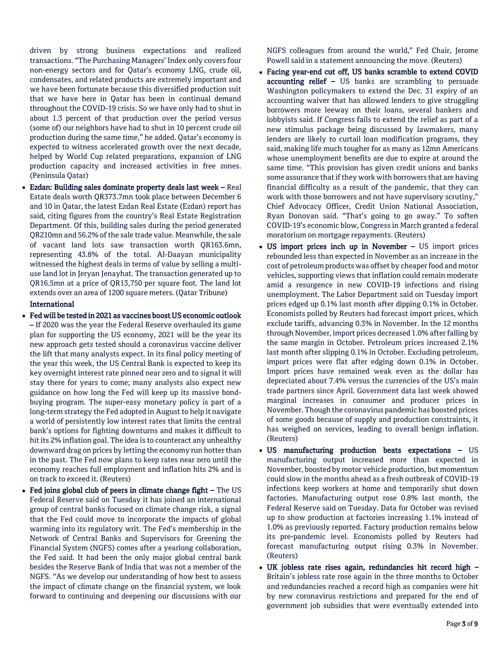driven by strong business expectations and realized transactions. "The Purchasing Managers' Index only covers four non-energy sectors and for Qatar's economy LNG, crude oil, condensates, and related products are extremely important and we have been fortunate because this diversified production suit that we have here in Qatar has been in continual demand throughout the COVID-19 crisis. So we have only had to shut in about 1.3 percent of that production over the period versus (some of) our neighbors have had to shut in 10 percent crude oil production during the same time," he added. Qatar's economy is expected to witness accelerated growth over the next decade, helped by World Cup related preparations, expansion of LNG production capacity and increased activities in free zones. (Peninsula Qatar)

 Ezdan: Building sales dominate property deals last week – Real Estate deals worth QR373.7mn took place between December 6 and 10 in Qatar, the latest Ezdan Real Estate (Ezdan) report has said, citing figures from the country's Real Estate Registration Department. Of this, building sales during the period generated QR210mn and 56.2% of the sale trade value. Meanwhile, the sale of vacant land lots saw transaction worth QR163.6mn, representing 43.8% of the total. Al-Daayan municipality witnessed the highest deals in terms of value by selling a multiuse land lot in Jeryan Jenayhat. The transaction generated up to QR16.5mn at a price of QR13,750 per square foot. The land lot extends over an area of 1200 square meters. (Qatar Tribune)

## International

- Fed will be tested in 2021 as vaccines boost US economic outlook – If 2020 was the year the Federal Reserve overhauled its game plan for supporting the US economy, 2021 will be the year its new approach gets tested should a coronavirus vaccine deliver the lift that many analysts expect. In its final policy meeting of the year this week, the US Central Bank is expected to keep its key overnight interest rate pinned near zero and to signal it will stay there for years to come; many analysts also expect new guidance on how long the Fed will keep up its massive bondbuying program. The super-easy monetary policy is part of a long-term strategy the Fed adopted in August to help it navigate a world of persistently low interest rates that limits the central bank's options for fighting downturns and makes it difficult to hit its 2% inflation goal. The idea is to counteract any unhealthy downward drag on prices by letting the economy run hotter than in the past. The Fed now plans to keep rates near zero until the economy reaches full employment and inflation hits 2% and is on track to exceed it. (Reuters)
- Fed joins global club of peers in climate change fight The US Federal Reserve said on Tuesday it has joined an international group of central banks focused on climate change risk, a signal that the Fed could move to incorporate the impacts of global warming into its regulatory writ. The Fed's membership in the Network of Central Banks and Supervisors for Greening the Financial System (NGFS) comes after a yearlong collaboration, the Fed said. It had been the only major global central bank besides the Reserve Bank of India that was not a member of the NGFS. "As we develop our understanding of how best to assess the impact of climate change on the financial system, we look forward to continuing and deepening our discussions with our

NGFS colleagues from around the world," Fed Chair, Jerome Powell said in a statement announcing the move. (Reuters)

- Facing year-end cut off, US banks scramble to extend COVID accounting relief – US banks are scrambling to persuade Washington policymakers to extend the Dec. 31 expiry of an accounting waiver that has allowed lenders to give struggling borrowers more leeway on their loans, several bankers and lobbyists said. If Congress fails to extend the relief as part of a new stimulus package being discussed by lawmakers, many lenders are likely to curtail loan modification programs, they said, making life much tougher for as many as 12mn Americans whose unemployment benefits are due to expire at around the same time. "This provision has given credit unions and banks some assurance that if they work with borrowers that are having financial difficulty as a result of the pandemic, that they can work with those borrowers and not have supervisory scrutiny," Chief Advocacy Officer, Credit Union National Association, Ryan Donovan said. "That's going to go away." To soften COVID-19's economic blow, Congress in March granted a federal moratorium on mortgage repayments. (Reuters)
- US import prices inch up in November US import prices rebounded less than expected in November as an increase in the cost of petroleum products was offset by cheaper food and motor vehicles, supporting views that inflation could remain moderate amid a resurgence in new COVID-19 infections and rising unemployment. The Labor Department said on Tuesday import prices edged up 0.1% last month after dipping 0.1% in October. Economists polled by Reuters had forecast import prices, which exclude tariffs, advancing 0.3% in November. In the 12 months through November, import prices decreased 1.0% after falling by the same margin in October. Petroleum prices increased 2.1% last month after slipping 0.1% in October. Excluding petroleum, import prices were flat after edging down 0.1% in October. Import prices have remained weak even as the dollar has depreciated about 7.4% versus the currencies of the US's main trade partners since April. Government data last week showed marginal increases in consumer and producer prices in November. Though the coronavirus pandemic has boosted prices of some goods because of supply and production constraints, it has weighed on services, leading to overall benign inflation. (Reuters)
- US manufacturing production beats expectations US manufacturing output increased more than expected in November, boosted by motor vehicle production, but momentum could slow in the months ahead as a fresh outbreak of COVID-19 infections keep workers at home and temporarily shut down factories. Manufacturing output rose 0.8% last month, the Federal Reserve said on Tuesday. Data for October was revised up to show production at factories increasing 1.1% instead of 1.0% as previously reported. Factory production remains below its pre-pandemic level. Economists polled by Reuters had forecast manufacturing output rising 0.3% in November. (Reuters)
- UK jobless rate rises again, redundancies hit record high Britain's jobless rate rose again in the three months to October and redundancies reached a record high as companies were hit by new coronavirus restrictions and prepared for the end of government job subsidies that were eventually extended into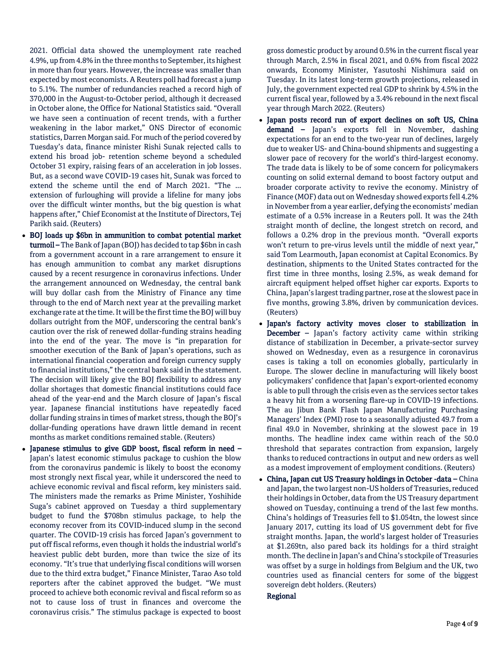2021. Official data showed the unemployment rate reached 4.9%, up from 4.8% in the three months to September, its highest in more than four years. However, the increase was smaller than expected by most economists. A Reuters poll had forecast a jump to 5.1%. The number of redundancies reached a record high of 370,000 in the August-to-October period, although it decreased in October alone, the Office for National Statistics said. "Overall we have seen a continuation of recent trends, with a further weakening in the labor market," ONS Director of economic statistics, Darren Morgan said. For much of the period covered by Tuesday's data, finance minister Rishi Sunak rejected calls to extend his broad job- retention scheme beyond a scheduled October 31 expiry, raising fears of an acceleration in job losses. But, as a second wave COVID-19 cases hit, Sunak was forced to extend the scheme until the end of March 2021. "The ... extension of furloughing will provide a lifeline for many jobs over the difficult winter months, but the big question is what happens after," Chief Economist at the Institute of Directors, Tej Parikh said. (Reuters)

- BOJ loads up \$6bn in ammunition to combat potential market turmoil – The Bank of Japan (BOJ) has decided to tap \$6bn in cash from a government account in a rare arrangement to ensure it has enough ammunition to combat any market disruptions caused by a recent resurgence in coronavirus infections. Under the arrangement announced on Wednesday, the central bank will buy dollar cash from the Ministry of Finance any time through to the end of March next year at the prevailing market exchange rate at the time. It will be the first time the BOJ will buy dollars outright from the MOF, underscoring the central bank's caution over the risk of renewed dollar-funding strains heading into the end of the year. The move is "in preparation for smoother execution of the Bank of Japan's operations, such as international financial cooperation and foreign currency supply to financial institutions," the central bank said in the statement. The decision will likely give the BOJ flexibility to address any dollar shortages that domestic financial institutions could face ahead of the year-end and the March closure of Japan's fiscal year. Japanese financial institutions have repeatedly faced dollar funding strains in times of market stress, though the BOJ's dollar-funding operations have drawn little demand in recent months as market conditions remained stable. (Reuters)
- Japanese stimulus to give GDP boost, fiscal reform in need -Japan's latest economic stimulus package to cushion the blow from the coronavirus pandemic is likely to boost the economy most strongly next fiscal year, while it underscored the need to achieve economic revival and fiscal reform, key ministers said. The ministers made the remarks as Prime Minister, Yoshihide Suga's cabinet approved on Tuesday a third supplementary budget to fund the \$708bn stimulus package, to help the economy recover from its COVID-induced slump in the second quarter. The COVID-19 crisis has forced Japan's government to put off fiscal reforms, even though it holds the industrial world's heaviest public debt burden, more than twice the size of its economy. "It's true that underlying fiscal conditions will worsen due to the third extra budget," Finance Minister, Tarao Aso told reporters after the cabinet approved the budget. "We must proceed to achieve both economic revival and fiscal reform so as not to cause loss of trust in finances and overcome the coronavirus crisis." The stimulus package is expected to boost

gross domestic product by around 0.5% in the current fiscal year through March, 2.5% in fiscal 2021, and 0.6% from fiscal 2022 onwards, Economy Minister, Yasutoshi Nishimura said on Tuesday. In its latest long-term growth projections, released in July, the government expected real GDP to shrink by 4.5% in the current fiscal year, followed by a 3.4% rebound in the next fiscal year through March 2022. (Reuters)

- Japan posts record run of export declines on soft US, China demand - Japan's exports fell in November, dashing expectations for an end to the two-year run of declines, largely due to weaker US- and China-bound shipments and suggesting a slower pace of recovery for the world's third-largest economy. The trade data is likely to be of some concern for policymakers counting on solid external demand to boost factory output and broader corporate activity to revive the economy. Ministry of Finance (MOF) data out on Wednesday showed exports fell 4.2% in November from a year earlier, defying the economists' median estimate of a 0.5% increase in a Reuters poll. It was the 24th straight month of decline, the longest stretch on record, and follows a 0.2% drop in the previous month. "Overall exports won't return to pre-virus levels until the middle of next year," said Tom Learmouth, Japan economist at Capital Economics. By destination, shipments to the United States contracted for the first time in three months, losing 2.5%, as weak demand for aircraft equipment helped offset higher car exports. Exports to China, Japan's largest trading partner, rose at the slowest pace in five months, growing 3.8%, driven by communication devices. (Reuters)
- Japan's factory activity moves closer to stabilization in December – Japan's factory activity came within striking distance of stabilization in December, a private-sector survey showed on Wednesday, even as a resurgence in coronavirus cases is taking a toll on economies globally, particularly in Europe. The slower decline in manufacturing will likely boost policymakers' confidence that Japan's export-oriented economy is able to pull through the crisis even as the services sector takes a heavy hit from a worsening flare-up in COVID-19 infections. The au Jibun Bank Flash Japan Manufacturing Purchasing Managers' Index (PMI) rose to a seasonally adjusted 49.7 from a final 49.0 in November, shrinking at the slowest pace in 19 months. The headline index came within reach of the 50.0 threshold that separates contraction from expansion, largely thanks to reduced contractions in output and new orders as well as a modest improvement of employment conditions. (Reuters)
- China, Japan cut US Treasury holdings in October -data China and Japan, the two largest non-US holders of Treasuries, reduced their holdings in October, data from the US Treasury department showed on Tuesday, continuing a trend of the last few months. China's holdings of Treasuries fell to \$1.054tn, the lowest since January 2017, cutting its load of US government debt for five straight months. Japan, the world's largest holder of Treasuries at \$1.269tn, also pared back its holdings for a third straight month. The decline in Japan's and China's stockpile of Treasuries was offset by a surge in holdings from Belgium and the UK, two countries used as financial centers for some of the biggest sovereign debt holders. (Reuters)

# Regional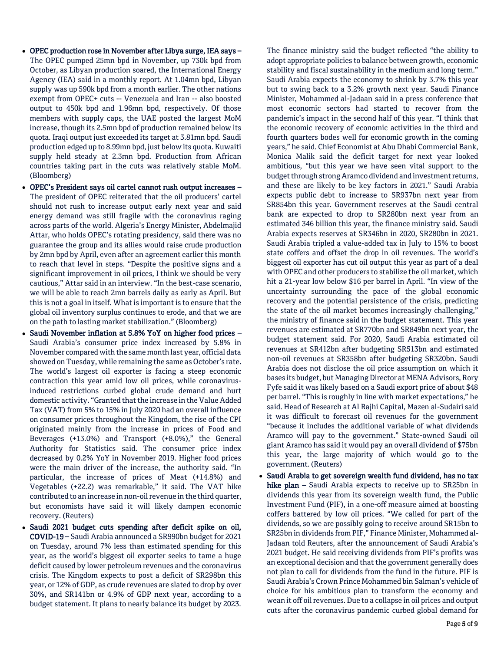- OPEC production rose in November after Libya surge, IEA says The OPEC pumped 25mn bpd in November, up 730k bpd from October, as Libyan production soared, the International Energy Agency (IEA) said in a monthly report. At 1.04mn bpd, Libyan supply was up 590k bpd from a month earlier. The other nations exempt from OPEC+ cuts -- Venezuela and Iran -- also boosted output to 450k bpd and 1.96mn bpd, respectively. Of those members with supply caps, the UAE posted the largest MoM increase, though its 2.5mn bpd of production remained below its quota. Iraqi output just exceeded its target at 3.81mn bpd. Saudi production edged up to 8.99mn bpd, just below its quota. Kuwaiti supply held steady at 2.3mn bpd. Production from African countries taking part in the cuts was relatively stable MoM. (Bloomberg)
- OPEC's President says oil cartel cannot rush output increases The president of OPEC reiterated that the oil producers' cartel should not rush to increase output early next year and said energy demand was still fragile with the coronavirus raging across parts of the world. Algeria's Energy Minister, Abdelmajid Attar, who holds OPEC's rotating presidency, said there was no guarantee the group and its allies would raise crude production by 2mn bpd by April, even after an agreement earlier this month to reach that level in steps. "Despite the positive signs and a significant improvement in oil prices, I think we should be very cautious," Attar said in an interview. "In the best-case scenario, we will be able to reach 2mn barrels daily as early as April. But this is not a goal in itself. What is important is to ensure that the global oil inventory surplus continues to erode, and that we are on the path to lasting market stabilization." (Bloomberg)
- Saudi November inflation at 5.8% YoY on higher food prices Saudi Arabia's consumer price index increased by 5.8% in November compared with the same month last year, official data showed on Tuesday, while remaining the same as October's rate. The world's largest oil exporter is facing a steep economic contraction this year amid low oil prices, while coronavirusinduced restrictions curbed global crude demand and hurt domestic activity. "Granted that the increase in the Value Added Tax (VAT) from 5% to 15% in July 2020 had an overall influence on consumer prices throughout the Kingdom, the rise of the CPI originated mainly from the increase in prices of Food and Beverages (+13.0%) and Transport (+8.0%)," the General Authority for Statistics said. The consumer price index decreased by 0.2% YoY in November 2019. Higher food prices were the main driver of the increase, the authority said. "In particular, the increase of prices of Meat (+14.8%) and Vegetables (+22.2) was remarkable," it said. The VAT hike contributed to an increase in non-oil revenue in the third quarter, but economists have said it will likely dampen economic recovery. (Reuters)
- Saudi 2021 budget cuts spending after deficit spike on oil, COVID-19 – Saudi Arabia announced a SR990bn budget for 2021 on Tuesday, around 7% less than estimated spending for this year, as the world's biggest oil exporter seeks to tame a huge deficit caused by lower petroleum revenues and the coronavirus crisis. The Kingdom expects to post a deficit of SR298bn this year, or 12% of GDP, as crude revenues are slated to drop by over 30%, and SR141bn or 4.9% of GDP next year, according to a budget statement. It plans to nearly balance its budget by 2023.

The finance ministry said the budget reflected "the ability to adopt appropriate policies to balance between growth, economic stability and fiscal sustainability in the medium and long term." Saudi Arabia expects the economy to shrink by 3.7% this year but to swing back to a 3.2% growth next year. Saudi Finance Minister, Mohammed al-Jadaan said in a press conference that most economic sectors had started to recover from the pandemic's impact in the second half of this year. "I think that the economic recovery of economic activities in the third and fourth quarters bodes well for economic growth in the coming years," he said. Chief Economist at Abu Dhabi Commercial Bank, Monica Malik said the deficit target for next year looked ambitious, "but this year we have seen vital support to the budget through strong Aramco dividend and investment returns, and these are likely to be key factors in 2021." Saudi Arabia expects public debt to increase to SR937bn next year from SR854bn this year. Government reserves at the Saudi central bank are expected to drop to SR280bn next year from an estimated 346 billion this year, the finance ministry said. Saudi Arabia expects reserves at SR346bn in 2020, SR280bn in 2021. Saudi Arabia tripled a value-added tax in July to 15% to boost state coffers and offset the drop in oil revenues. The world's biggest oil exporter has cut oil output this year as part of a deal with OPEC and other producers to stabilize the oil market, which hit a 21-year low below \$16 per barrel in April. "In view of the uncertainty surrounding the pace of the global economic recovery and the potential persistence of the crisis, predicting the state of the oil market becomes increasingly challenging," the ministry of finance said in the budget statement. This year revenues are estimated at SR770bn and SR849bn next year, the budget statement said. For 2020, Saudi Arabia estimated oil revenues at SR412bn after budgeting SR513bn and estimated non-oil revenues at SR358bn after budgeting SR320bn. Saudi Arabia does not disclose the oil price assumption on which it bases its budget, but Managing Director at MENA Advisors, Rory Fyfe said it was likely based on a Saudi export price of about \$48 per barrel. "This is roughly in line with market expectations," he said. Head of Research at Al Rajhi Capital, Mazen al-Sudairi said it was difficult to forecast oil revenues for the government "because it includes the additional variable of what dividends Aramco will pay to the government." State-owned Saudi oil giant Aramco has said it would pay an overall dividend of \$75bn this year, the large majority of which would go to the government. (Reuters)

 Saudi Arabia to get sovereign wealth fund dividend, has no tax hike plan – Saudi Arabia expects to receive up to SR25bn in dividends this year from its sovereign wealth fund, the Public Investment Fund (PIF), in a one-off measure aimed at boosting coffers battered by low oil prices. "We called for part of the dividends, so we are possibly going to receive around SR15bn to SR25bn in dividends from PIF," Finance Minister, Mohammed al-Jadaan told Reuters, after the announcement of Saudi Arabia's 2021 budget. He said receiving dividends from PIF's profits was an exceptional decision and that the government generally does not plan to call for dividends from the fund in the future. PIF is Saudi Arabia's Crown Prince Mohammed bin Salman's vehicle of choice for his ambitious plan to transform the economy and wean it off oil revenues. Due to a collapse in oil prices and output cuts after the coronavirus pandemic curbed global demand for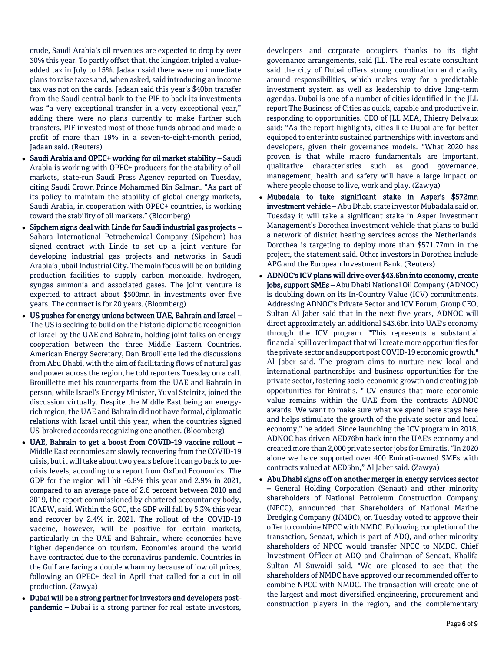crude, Saudi Arabia's oil revenues are expected to drop by over 30% this year. To partly offset that, the kingdom tripled a valueadded tax in July to 15%. Jadaan said there were no immediate plans to raise taxes and, when asked, said introducing an income tax was not on the cards. Jadaan said this year's \$40bn transfer from the Saudi central bank to the PIF to back its investments was "a very exceptional transfer in a very exceptional year," adding there were no plans currently to make further such transfers. PIF invested most of those funds abroad and made a profit of more than 19% in a seven-to-eight-month period, Jadaan said. (Reuters)

- Saudi Arabia and OPEC+ working for oil market stability Saudi Arabia is working with OPEC+ producers for the stability of oil markets, state-run Saudi Press Agency reported on Tuesday, citing Saudi Crown Prince Mohammed Bin Salman. "As part of its policy to maintain the stability of global energy markets, Saudi Arabia, in cooperation with OPEC+ countries, is working toward the stability of oil markets." (Bloomberg)
- Sipchem signs deal with Linde for Saudi industrial gas projects Sahara International Petrochemical Company (Sipchem) has signed contract with Linde to set up a joint venture for developing industrial gas projects and networks in Saudi Arabia's Jubail Industrial City. The main focus will be on building production facilities to supply carbon monoxide, hydrogen, syngas ammonia and associated gases. The joint venture is expected to attract about \$500mn in investments over five years. The contract is for 20 years. (Bloomberg)
- US pushes for energy unions between UAE, Bahrain and Israel The US is seeking to build on the historic diplomatic recognition of Israel by the UAE and Bahrain, holding joint talks on energy cooperation between the three Middle Eastern Countries. American Energy Secretary, Dan Brouillette led the discussions from Abu Dhabi, with the aim of facilitating flows of natural gas and power across the region, he told reporters Tuesday on a call. Brouillette met his counterparts from the UAE and Bahrain in person, while Israel's Energy Minister, Yuval Steinitz, joined the discussion virtually. Despite the Middle East being an energyrich region, the UAE and Bahrain did not have formal, diplomatic relations with Israel until this year, when the countries signed US-brokered accords recognizing one another. (Bloomberg)
- UAE, Bahrain to get a boost from COVID-19 vaccine rollout Middle East economies are slowly recovering from the COVID-19 crisis, but it will take about two years before it can go back to precrisis levels, according to a report from Oxford Economics. The GDP for the region will hit -6.8% this year and 2.9% in 2021, compared to an average pace of 2.6 percent between 2010 and 2019, the report commissioned by chartered accountancy body, ICAEW, said. Within the GCC, the GDP will fall by 5.3% this year and recover by 2.4% in 2021. The rollout of the COVID-19 vaccine, however, will be positive for certain markets, particularly in the UAE and Bahrain, where economies have higher dependence on tourism. Economies around the world have contracted due to the coronavirus pandemic. Countries in the Gulf are facing a double whammy because of low oil prices, following an OPEC+ deal in April that called for a cut in oil production. (Zawya)
- Dubai will be a strong partner for investors and developers postpandemic – Dubai is a strong partner for real estate investors,

developers and corporate occupiers thanks to its tight governance arrangements, said JLL. The real estate consultant said the city of Dubai offers strong coordination and clarity around responsibilities, which makes way for a predictable investment system as well as leadership to drive long-term agendas. Dubai is one of a number of cities identified in the JLL report The Business of Cities as quick, capable and productive in responding to opportunities. CEO of JLL MEA, Thierry Delvaux said: "As the report highlights, cities like Dubai are far better equipped to enter into sustained partnerships with investors and developers, given their governance models. "What 2020 has proven is that while macro fundamentals are important, qualitative characteristics such as good governance, management, health and safety will have a large impact on where people choose to live, work and play. (Zawya)

- Mubadala to take significant stake in Asper's \$572mn investment vehicle – Abu Dhabi state investor Mubadala said on Tuesday it will take a significant stake in Asper Investment Management's Dorothea investment vehicle that plans to build a network of district heating services across the Netherlands. Dorothea is targeting to deploy more than \$571.77mn in the project, the statement said. Other investors in Dorothea include APG and the European Investment Bank. (Reuters)
- ADNOC's ICV plans will drive over \$43.6bn into economy, create jobs, support SMEs - Abu Dhabi National Oil Company (ADNOC) is doubling down on its In-Country Value (ICV) commitments. Addressing ADNOC's Private Sector and ICV Forum, Group CEO, Sultan Al Jaber said that in the next five years, ADNOC will direct approximately an additional \$43.6bn into UAE's economy through the ICV program. "This represents a substantial financial spill over impact that will create more opportunities for the private sector and support post COVID-19 economic growth," Al Jaber said. The program aims to nurture new local and international partnerships and business opportunities for the private sector, fostering socio-economic growth and creating job opportunities for Emiratis. "ICV ensures that more economic value remains within the UAE from the contracts ADNOC awards. We want to make sure what we spend here stays here and helps stimulate the growth of the private sector and local economy," he added. Since launching the ICV program in 2018, ADNOC has driven AED76bn back into the UAE's economy and created more than 2,000 private sector jobs for Emiratis. "In 2020 alone we have supported over 400 Emirati-owned SMEs with contracts valued at AED5bn," Al Jaber said. (Zawya)
- Abu Dhabi signs off on another merger in energy services sector – General Holding Corporation (Senaat) and other minority shareholders of National Petroleum Construction Company (NPCC), announced that Shareholders of National Marine Dredging Company (NMDC), on Tuesday voted to approve their offer to combine NPCC with NMDC. Following completion of the transaction, Senaat, which is part of ADQ, and other minority shareholders of NPCC would transfer NPCC to NMDC. Chief Investment Officer at ADQ and Chairman of Senaat, Khalifa Sultan Al Suwaidi said, "We are pleased to see that the shareholders of NMDC have approved our recommended offer to combine NPCC with NMDC. The transaction will create one of the largest and most diversified engineering, procurement and construction players in the region, and the complementary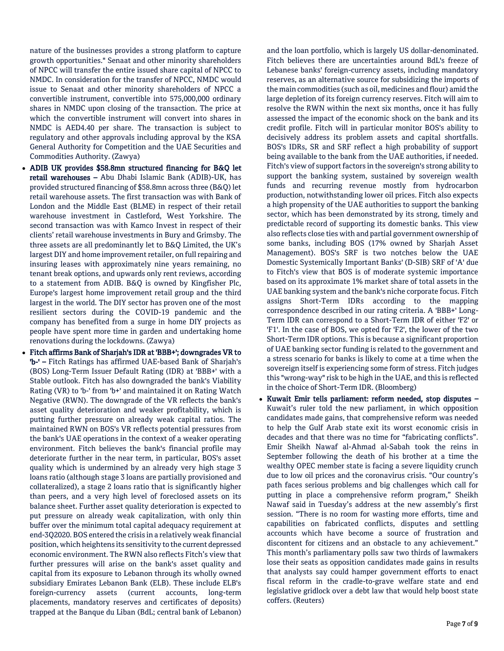nature of the businesses provides a strong platform to capture growth opportunities." Senaat and other minority shareholders of NPCC will transfer the entire issued share capital of NPCC to NMDC. In consideration for the transfer of NPCC, NMDC would issue to Senaat and other minority shareholders of NPCC a convertible instrument, convertible into 575,000,000 ordinary shares in NMDC upon closing of the transaction. The price at which the convertible instrument will convert into shares in NMDC is AED4.40 per share. The transaction is subject to regulatory and other approvals including approval by the KSA General Authority for Competition and the UAE Securities and Commodities Authority. (Zawya)

- ADIB UK provides \$58.8mn structured financing for B&Q let retail warehouses – Abu Dhabi Islamic Bank (ADIB)-UK, has provided structured financing of \$58.8mn across three (B&Q) let retail warehouse assets. The first transaction was with Bank of London and the Middle East (BLME) in respect of their retail warehouse investment in Castleford, West Yorkshire. The second transaction was with Kamco Invest in respect of their clients' retail warehouse investments in Bury and Grimsby. The three assets are all predominantly let to B&Q Limited, the UK's largest DIY and home improvement retailer, on full repairing and insuring leases with approximately nine years remaining, no tenant break options, and upwards only rent reviews, according to a statement from ADIB. B&Q is owned by Kingfisher Plc, Europe's largest home improvement retail group and the third largest in the world. The DIY sector has proven one of the most resilient sectors during the COVID-19 pandemic and the company has benefited from a surge in home DIY projects as people have spent more time in garden and undertaking home renovations during the lockdowns. (Zawya)
- Fitch affirms Bank of Sharjah's IDR at 'BBB+'; downgrades VR to 'b-' – Fitch Ratings has affirmed UAE-based Bank of Sharjah's (BOS) Long-Term Issuer Default Rating (IDR) at 'BBB+' with a Stable outlook. Fitch has also downgraded the bank's Viability Rating (VR) to 'b-' from 'b+' and maintained it on Rating Watch Negative (RWN). The downgrade of the VR reflects the bank's asset quality deterioration and weaker profitability, which is putting further pressure on already weak capital ratios. The maintained RWN on BOS's VR reflects potential pressures from the bank's UAE operations in the context of a weaker operating environment. Fitch believes the bank's financial profile may deteriorate further in the near term, in particular, BOS's asset quality which is undermined by an already very high stage 3 loans ratio (although stage 3 loans are partially provisioned and collateralized), a stage 2 loans ratio that is significantly higher than peers, and a very high level of foreclosed assets on its balance sheet. Further asset quality deterioration is expected to put pressure on already weak capitalization, with only thin buffer over the minimum total capital adequacy requirement at end-3Q2020. BOS entered the crisis in a relatively weak financial position, which heightens its sensitivity to the current depressed economic environment. The RWN also reflects Fitch's view that further pressures will arise on the bank's asset quality and capital from its exposure to Lebanon through its wholly owned subsidiary Emirates Lebanon Bank (ELB). These include ELB's foreign-currency assets (current accounts, long-term placements, mandatory reserves and certificates of deposits) trapped at the Banque du Liban (BdL; central bank of Lebanon)

and the loan portfolio, which is largely US dollar-denominated. Fitch believes there are uncertainties around BdL's freeze of Lebanese banks' foreign-currency assets, including mandatory reserves, as an alternative source for subsidizing the imports of the main commodities (such as oil, medicines and flour) amid the large depletion of its foreign currency reserves. Fitch will aim to resolve the RWN within the next six months, once it has fully assessed the impact of the economic shock on the bank and its credit profile. Fitch will in particular monitor BOS's ability to decisively address its problem assets and capital shortfalls. BOS's IDRs, SR and SRF reflect a high probability of support being available to the bank from the UAE authorities, if needed. Fitch's view of support factors in the sovereign's strong ability to support the banking system, sustained by sovereign wealth funds and recurring revenue mostly from hydrocarbon production, notwithstanding lower oil prices. Fitch also expects a high propensity of the UAE authorities to support the banking sector, which has been demonstrated by its strong, timely and predictable record of supporting its domestic banks. This view also reflects close ties with and partial government ownership of some banks, including BOS (17% owned by Sharjah Asset Management). BOS's SRF is two notches below the UAE Domestic Systemically Important Banks' (D-SIB) SRF of 'A' due to Fitch's view that BOS is of moderate systemic importance based on its approximate 1% market share of total assets in the UAE banking system and the bank's niche corporate focus. Fitch assigns Short-Term IDRs according to the mapping correspondence described in our rating criteria. A 'BBB+' Long-Term IDR can correspond to a Short-Term IDR of either 'F2' or 'F1'. In the case of BOS, we opted for 'F2', the lower of the two Short-Term IDR options. This is because a significant proportion of UAE banking sector funding is related to the government and a stress scenario for banks is likely to come at a time when the sovereign itself is experiencing some form of stress. Fitch judges this "wrong-way" risk to be high in the UAE, and this is reflected in the choice of Short-Term IDR. (Bloomberg)

 Kuwait Emir tells parliament: reform needed, stop disputes – Kuwait's ruler told the new parliament, in which opposition candidates made gains, that comprehensive reform was needed to help the Gulf Arab state exit its worst economic crisis in decades and that there was no time for "fabricating conflicts". Emir Sheikh Nawaf al-Ahmad al-Sabah took the reins in September following the death of his brother at a time the wealthy OPEC member state is facing a severe liquidity crunch due to low oil prices and the coronavirus crisis. "Our country's path faces serious problems and big challenges which call for putting in place a comprehensive reform program," Sheikh Nawaf said in Tuesday's address at the new assembly's first session. "There is no room for wasting more efforts, time and capabilities on fabricated conflicts, disputes and settling accounts which have become a source of frustration and discontent for citizens and an obstacle to any achievement." This month's parliamentary polls saw two thirds of lawmakers lose their seats as opposition candidates made gains in results that analysts say could hamper government efforts to enact fiscal reform in the cradle-to-grave welfare state and end legislative gridlock over a debt law that would help boost state coffers. (Reuters)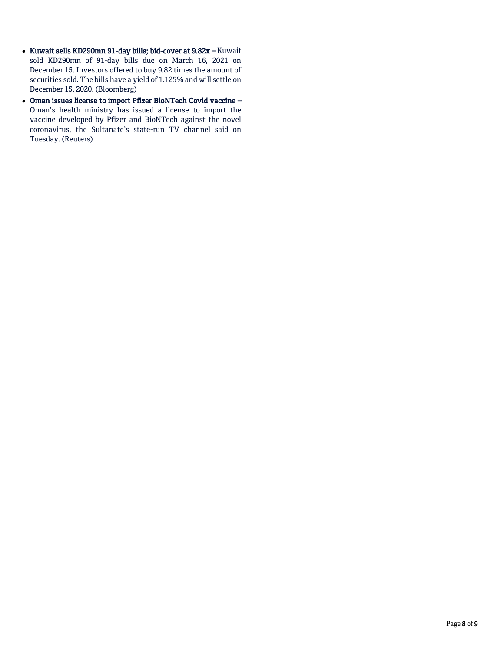- Kuwait sells KD290mn 91-day bills; bid-cover at 9.82x Kuwait sold KD290mn of 91-day bills due on March 16, 2021 on December 15. Investors offered to buy 9.82 times the amount of securities sold. The bills have a yield of 1.125% and will settle on December 15, 2020. (Bloomberg)
- Oman issues license to import Pfizer BioNTech Covid vaccine Oman's health ministry has issued a license to import the vaccine developed by Pfizer and BioNTech against the novel coronavirus, the Sultanate's state-run TV channel said on Tuesday. (Reuters)